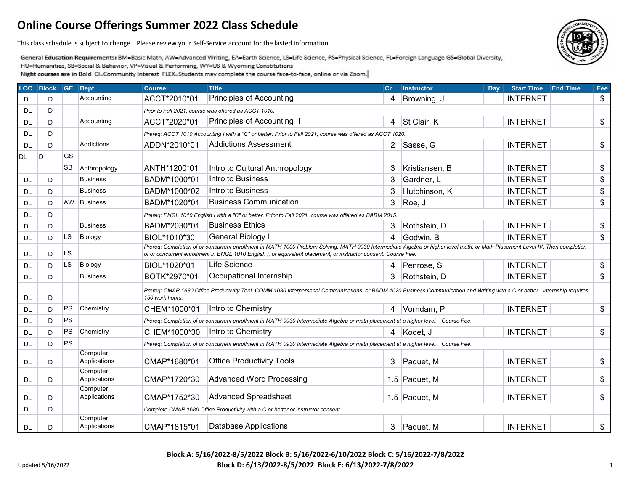This class schedule is subject to change. Please review your Self-Service account for the lasted information.

General Education Requirements: BM=Basic Math, AW=Advanced Writing, EA=Earth Science, LS=Life Science, PS=Physical Science, FL=Foreign Language GS=Global Diversity, HU=Humanities, SB=Social & Behavior, VP=Visual & Performing, WY=US & Wyoming Constitutions Night courses are in Bold CI=Community Interest FLEX=Students may complete the course face-to-face, online or via Zoom.

|           | LOC Block | GE Dept   |                          | <b>Course</b>   | <b>Title</b>                                                                                                                                                                                                                                                                                     | <b>Cr</b> | <b>Instructor</b> | <b>Day</b> | <b>Start Time</b> | <b>End Time</b> | Fee |  |  |
|-----------|-----------|-----------|--------------------------|-----------------|--------------------------------------------------------------------------------------------------------------------------------------------------------------------------------------------------------------------------------------------------------------------------------------------------|-----------|-------------------|------------|-------------------|-----------------|-----|--|--|
| DL        | D         |           | Accounting               | ACCT*2010*01    | Principles of Accounting I                                                                                                                                                                                                                                                                       | 4         | Browning, J       |            | <b>INTERNET</b>   |                 | \$  |  |  |
| DL        | D         |           |                          |                 | Prior to Fall 2021, course was offered as ACCT 1010.                                                                                                                                                                                                                                             |           |                   |            |                   |                 |     |  |  |
| <b>DL</b> | D         |           | Accounting               | ACCT*2020*01    | Principles of Accounting II                                                                                                                                                                                                                                                                      | 4         | St Clair, K       |            | <b>INTERNET</b>   |                 | \$  |  |  |
| DL        | D         |           |                          |                 | Prereq: ACCT 1010 Accounting I with a "C" or better. Prior to Fall 2021, course was offered as ACCT 1020.                                                                                                                                                                                        |           |                   |            |                   |                 |     |  |  |
| <b>DL</b> | D         |           | <b>Addictions</b>        | ADDN*2010*01    | <b>Addictions Assessment</b>                                                                                                                                                                                                                                                                     |           | 2 Sasse, G        |            | <b>INTERNET</b>   |                 | \$  |  |  |
| <b>DL</b> | ID.       | GS        |                          |                 |                                                                                                                                                                                                                                                                                                  |           |                   |            |                   |                 |     |  |  |
|           |           | <b>SB</b> | Anthropology             | ANTH*1200*01    | Intro to Cultural Anthropology                                                                                                                                                                                                                                                                   | 3         | Kristiansen, B    |            | <b>INTERNET</b>   |                 | \$  |  |  |
| DL        | D         |           | <b>Business</b>          | BADM*1000*01    | Intro to Business                                                                                                                                                                                                                                                                                | 3         | Gardner, L        |            | <b>INTERNET</b>   |                 | \$  |  |  |
| DL        | D         |           | <b>Business</b>          | BADM*1000*02    | Intro to Business                                                                                                                                                                                                                                                                                | 3         | Hutchinson, K     |            | <b>INTERNET</b>   |                 | \$  |  |  |
| <b>DL</b> | D         | AW        | Business                 | BADM*1020*01    | <b>Business Communication</b>                                                                                                                                                                                                                                                                    | 3         | Roe, J            |            | <b>INTERNET</b>   |                 | \$  |  |  |
| DL        | D         |           |                          |                 | Prereq: ENGL 1010 English I with a "C" or better. Prior to Fall 2021, course was offered as BADM 2015.                                                                                                                                                                                           |           |                   |            |                   |                 |     |  |  |
| <b>DL</b> | D         |           | <b>Business</b>          | BADM*2030*01    | <b>Business Ethics</b>                                                                                                                                                                                                                                                                           | 3         | Rothstein, D      |            | <b>INTERNET</b>   |                 | \$  |  |  |
| DL        | D         | LS.       | Biology                  | BIOL*1010*30    | General Biology I                                                                                                                                                                                                                                                                                | 4         | Godwin, B         |            | <b>INTERNET</b>   |                 | \$  |  |  |
| <b>DL</b> | D         | <b>LS</b> |                          |                 | Prereq: Completion of or concurrent enrollment in MATH 1000 Problem Solving, MATH 0930 Intermediate Algebra or higher level math, or Math Placement Level IV. Then completion<br>of or concurrent enrollment in ENGL 1010 English I, or equivalent placement, or instructor consent. Course Fee. |           |                   |            |                   |                 |     |  |  |
| DL        | D         | <b>LS</b> | Biology                  | BIOL*1020*01    | Life Science                                                                                                                                                                                                                                                                                     | 4         | Penrose, S        |            | <b>INTERNET</b>   |                 | \$  |  |  |
| DL        | D         |           | <b>Business</b>          | BOTK*2970*01    | Occupational Internship                                                                                                                                                                                                                                                                          | 3         | Rothstein, D      |            | <b>INTERNET</b>   |                 | \$  |  |  |
| DL        | D         |           |                          | 150 work hours. | Prereg: CMAP 1680 Office Productivity Tool, COMM 1030 Interpersonal Communications, or BADM 1020 Business Communication and Writing with a C or better. Internship requires                                                                                                                      |           |                   |            |                   |                 |     |  |  |
| <b>DL</b> | D         | <b>PS</b> | Chemistry                | CHEM*1000*01    | Intro to Chemistry                                                                                                                                                                                                                                                                               | 4         | Vorndam, P        |            | <b>INTERNET</b>   |                 | \$  |  |  |
| DL        | D         | <b>PS</b> |                          |                 | Prereq: Completion of or concurrent enrollment in MATH 0930 Intermediate Algebra or math placement at a higher level. Course Fee.                                                                                                                                                                |           |                   |            |                   |                 |     |  |  |
| <b>DL</b> | D         | PS        | Chemistry                | CHEM*1000*30    | Intro to Chemistry                                                                                                                                                                                                                                                                               |           | Kodet, J          |            | <b>INTERNET</b>   |                 | \$  |  |  |
| <b>DL</b> | D         | <b>PS</b> |                          |                 | Prereq: Completion of or concurrent enrollment in MATH 0930 Intermediate Algebra or math placement at a higher level. Course Fee.                                                                                                                                                                |           |                   |            |                   |                 |     |  |  |
| DL        | D         |           | Computer<br>Applications | CMAP*1680*01    | <b>Office Productivity Tools</b>                                                                                                                                                                                                                                                                 | 3         | Paquet, M         |            | <b>INTERNET</b>   |                 | \$  |  |  |
| <b>DL</b> | D         |           | Computer<br>Applications | CMAP*1720*30    | <b>Advanced Word Processing</b>                                                                                                                                                                                                                                                                  |           | 1.5 Paquet, M     |            | <b>INTERNET</b>   |                 | \$  |  |  |
| <b>DL</b> | D         |           | Computer<br>Applications | CMAP*1752*30    | Advanced Spreadsheet                                                                                                                                                                                                                                                                             |           | 1.5 Paquet, M     |            | <b>INTERNET</b>   |                 | \$  |  |  |
| <b>DL</b> | D         |           |                          |                 | Complete CMAP 1680 Office Productivity with a C or better or instructor consent.                                                                                                                                                                                                                 |           |                   |            |                   |                 |     |  |  |
| <b>DL</b> | D         |           | Computer<br>Applications | CMAP*1815*01    | <b>Database Applications</b>                                                                                                                                                                                                                                                                     | 3         | Paquet, M         |            | <b>INTERNET</b>   |                 | \$  |  |  |

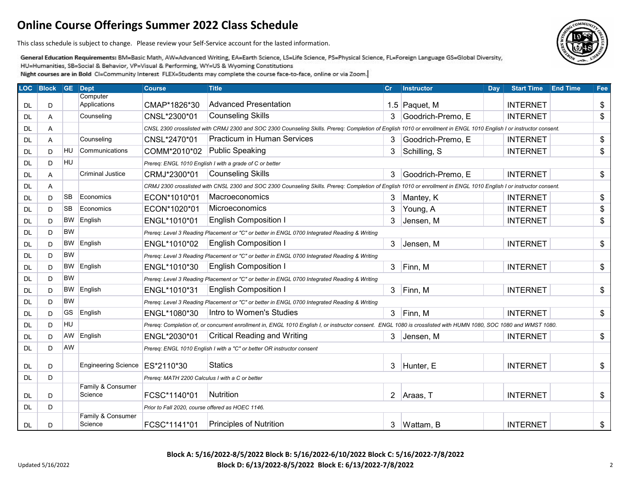This class schedule is subject to change. Please review your Self-Service account for the lasted information.

General Education Requirements: BM=Basic Math, AW=Advanced Writing, EA=Earth Science, LS=Life Science, PS=Physical Science, FL=Foreign Language GS=Global Diversity, HU=Humanities, SB=Social & Behavior, VP=Visual & Performing, WY=US & Wyoming Constitutions

Night courses are in Bold CI=Community Interest FLEX=Students may complete the course face-to-face, online or via Zoom.

| <b>LOC</b> | <b>Block GE Dept</b> |           |                                  | <b>Course</b>                                    | <b>Title</b>                                                                                                                                                        | cr  | <b>Instructor</b> | Day | <b>Start Time</b> | <b>End Time</b> | Fee |
|------------|----------------------|-----------|----------------------------------|--------------------------------------------------|---------------------------------------------------------------------------------------------------------------------------------------------------------------------|-----|-------------------|-----|-------------------|-----------------|-----|
|            |                      |           | Computer                         |                                                  |                                                                                                                                                                     |     |                   |     |                   |                 |     |
| DL.        | D                    |           | Applications                     | CMAP*1826*30                                     | <b>Advanced Presentation</b>                                                                                                                                        | 1.5 | Paquet, M         |     | <b>INTERNET</b>   |                 | \$  |
| DL         | Α                    |           | Counseling                       | CNSL*2300*01                                     | <b>Counseling Skills</b>                                                                                                                                            | 3   | Goodrich-Premo, E |     | <b>INTERNET</b>   |                 | \$  |
| DL.        | A                    |           |                                  |                                                  | CNSL 2300 crosslisted with CRMJ 2300 and SOC 2300 Counseling Skills. Prereq: Completion of English 1010 or enrollment in ENGL 1010 English I or instructor consent. |     |                   |     |                   |                 |     |
| DL         | Α                    |           | Counseling                       | CNSL*2470*01                                     | <b>Practicum in Human Services</b>                                                                                                                                  | 3   | Goodrich-Premo, E |     | <b>INTERNET</b>   |                 | \$  |
| DL         | D                    | <b>HU</b> | Communications                   | COMM*2010*02                                     | <b>Public Speaking</b>                                                                                                                                              | 3   | Schilling, S      |     | <b>INTERNET</b>   |                 | \$  |
| DL         | D                    | HU        |                                  |                                                  | Prereq: ENGL 1010 English I with a grade of C or better                                                                                                             |     |                   |     |                   |                 |     |
| DL.        | A                    |           | <b>Criminal Justice</b>          | CRMJ*2300*01                                     | <b>Counseling Skills</b>                                                                                                                                            | 3   | Goodrich-Premo, E |     | <b>INTERNET</b>   |                 | \$  |
| <b>DL</b>  | Α                    |           |                                  |                                                  | CRMJ 2300 crosslisted with CNSL 2300 and SOC 2300 Counseling Skills. Prereq: Completion of English 1010 or enrollment in ENGL 1010 English I or instructor consent. |     |                   |     |                   |                 |     |
| DL         | D                    | <b>SB</b> | Economics                        | ECON*1010*01                                     | Macroeconomics                                                                                                                                                      | 3   | Mantey, K         |     | <b>INTERNET</b>   |                 | \$  |
| DL         | D                    | <b>SB</b> | Economics                        | ECON*1020*01                                     | Microeconomics                                                                                                                                                      | 3   | Young, A          |     | <b>INTERNET</b>   |                 | \$  |
| DL         | D                    | <b>BW</b> | English                          | ENGL*1010*01                                     | <b>English Composition I</b>                                                                                                                                        | 3   | Jensen, M         |     | <b>INTERNET</b>   |                 | \$  |
| DL         | D                    | <b>BW</b> |                                  |                                                  | Prereq: Level 3 Reading Placement or "C" or better in ENGL 0700 Integrated Reading & Writing                                                                        |     |                   |     |                   |                 |     |
| DL         | D                    | <b>BW</b> | English                          | ENGL*1010*02                                     | <b>English Composition I</b>                                                                                                                                        | 3   | Jensen, M         |     | <b>INTERNET</b>   |                 | \$  |
| DL.        | D                    | <b>BW</b> |                                  |                                                  | Prereq: Level 3 Reading Placement or "C" or better in ENGL 0700 Integrated Reading & Writing                                                                        |     |                   |     |                   |                 |     |
| DL         | D                    | <b>BW</b> | English                          | ENGL*1010*30                                     | <b>English Composition I</b>                                                                                                                                        | 3   | Finn, M           |     | <b>INTERNET</b>   |                 | \$  |
| DL         | D                    | <b>BW</b> |                                  |                                                  | Prereq: Level 3 Reading Placement or "C" or better in ENGL 0700 Integrated Reading & Writing                                                                        |     |                   |     |                   |                 |     |
| DL         | D                    | <b>BW</b> | English                          | ENGL*1010*31                                     | <b>English Composition I</b>                                                                                                                                        | 3   | Finn, M           |     | <b>INTERNET</b>   |                 | \$  |
| DL         | D                    | <b>BW</b> |                                  |                                                  | Prereq: Level 3 Reading Placement or "C" or better in ENGL 0700 Integrated Reading & Writing                                                                        |     |                   |     |                   |                 |     |
| DL         | D                    | GS        | English                          | ENGL*1080*30                                     | Intro to Women's Studies                                                                                                                                            | 3   | Finn, M           |     | <b>INTERNET</b>   |                 | \$  |
| DL         | D                    | HU        |                                  |                                                  | Prereq: Completion of, or concurrent enrollment in, ENGL 1010 English I, or instructor consent. ENGL 1080 is crosslisted with HUMN 1080, SOC 1080 and WMST 1080.    |     |                   |     |                   |                 |     |
| DL         | D                    | AW        | English                          | ENGL*2030*01                                     | <b>Critical Reading and Writing</b>                                                                                                                                 | 3   | Jensen, M         |     | <b>INTERNET</b>   |                 | \$  |
| DL         | D                    | AW        |                                  |                                                  | Prereq: ENGL 1010 English I with a "C" or better OR instructor consent                                                                                              |     |                   |     |                   |                 |     |
| <b>DL</b>  | D                    |           | Engineering Science   ES*2110*30 |                                                  | <b>Statics</b>                                                                                                                                                      | 3   | Hunter, E         |     | <b>INTERNET</b>   |                 | \$  |
| DL.        | D                    |           |                                  | Prereq: MATH 2200 Calculus I with a C or better  |                                                                                                                                                                     |     |                   |     |                   |                 |     |
| DL.        | D                    |           | Family & Consumer<br>Science     | FCSC*1140*01                                     | <b>Nutrition</b>                                                                                                                                                    |     | 2   Araas, T      |     | <b>INTERNET</b>   |                 | \$  |
|            | D                    |           |                                  |                                                  |                                                                                                                                                                     |     |                   |     |                   |                 |     |
| DL         |                      |           | Family & Consumer                | Prior to Fall 2020, course offered as HOEC 1146. |                                                                                                                                                                     |     |                   |     |                   |                 |     |
| <b>DL</b>  | D                    |           | Science                          | FCSC*1141*01                                     | <b>Principles of Nutrition</b>                                                                                                                                      | 3   | Wattam, B         |     | <b>INTERNET</b>   |                 | \$  |

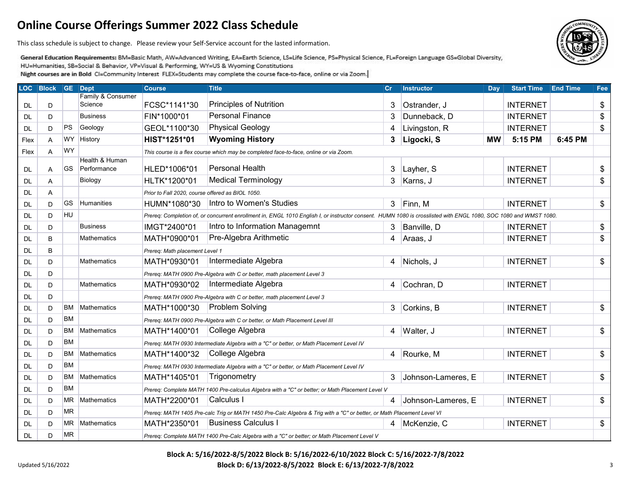This class schedule is subject to change. Please review your Self-Service account for the lasted information.

General Education Requirements: BM=Basic Math, AW=Advanced Writing, EA=Earth Science, LS=Life Science, PS=Physical Science, FL=Foreign Language GS=Global Diversity, HU=Humanities, SB=Social & Behavior, VP=Visual & Performing, WY=US & Wyoming Constitutions

Night courses are in Bold CI=Community Interest FLEX=Students may complete the course face-to-face, online or via Zoom.

| <b>LOC</b> | <b>Block</b> |           | GE Dept                       | <b>Course</b>                                    | <b>Title</b>                                                                                                                                                     | $ c_r $ | <b>Instructor</b>  | Day       | <b>Start Time</b> | <b>End Time</b> | Fee |
|------------|--------------|-----------|-------------------------------|--------------------------------------------------|------------------------------------------------------------------------------------------------------------------------------------------------------------------|---------|--------------------|-----------|-------------------|-----------------|-----|
|            |              |           | Family & Consumer<br>Science  | FCSC*1141*30                                     | Principles of Nutrition                                                                                                                                          |         |                    |           | <b>INTERNET</b>   |                 |     |
| DL         | D            |           |                               |                                                  | <b>Personal Finance</b>                                                                                                                                          | 3       | Ostrander, J       |           |                   |                 | \$  |
| DL         | D            |           | <b>Business</b>               | FIN*1000*01                                      |                                                                                                                                                                  | 3       | Dunneback, D       |           | <b>INTERNET</b>   |                 | \$  |
| DL.        | D            | PS        | Geology                       | GEOL*1100*30                                     | <b>Physical Geology</b>                                                                                                                                          | 4       | Livingston, R      |           | <b>INTERNET</b>   |                 | \$  |
| Flex       | A            | WY        | History                       | HIST*1251*01                                     | <b>Wyoming History</b>                                                                                                                                           | 3       | Ligocki, S         | <b>MW</b> | 5:15 PM           | 6:45 PM         |     |
| Flex       | A            | <b>WY</b> |                               |                                                  | This course is a flex course which may be completed face-to-face, online or via Zoom.                                                                            |         |                    |           |                   |                 |     |
| <b>DL</b>  | Α            | <b>GS</b> | Health & Human<br>Performance | HLED*1006*01                                     | <b>Personal Health</b>                                                                                                                                           | 3       | Layher, S          |           | <b>INTERNET</b>   |                 | \$  |
| <b>DL</b>  | Α            |           | Biology                       | HLTK*1200*01                                     | <b>Medical Terminology</b>                                                                                                                                       | 3       | Karns, J           |           | <b>INTERNET</b>   |                 | \$  |
| <b>DL</b>  | A            |           |                               | Prior to Fall 2020, course offered as BIOL 1050. |                                                                                                                                                                  |         |                    |           |                   |                 |     |
| <b>DL</b>  | D            | <b>GS</b> | Humanities                    | HUMN*1080*30                                     | Intro to Women's Studies                                                                                                                                         | 3       | Finn, M            |           | <b>INTERNET</b>   |                 | \$  |
| <b>DL</b>  | D            | <b>HU</b> |                               |                                                  | Prereq: Completion of, or concurrent enrollment in, ENGL 1010 English I, or instructor consent. HUMN 1080 is crosslisted with ENGL 1080, SOC 1080 and WMST 1080. |         |                    |           |                   |                 |     |
| <b>DL</b>  | D            |           | <b>Business</b>               | IMGT*2400*01                                     | Intro to Information Managemnt                                                                                                                                   | 3       | Banville, D        |           | <b>INTERNET</b>   |                 | \$  |
| DL         | B            |           | <b>Mathematics</b>            | MATH*0900*01                                     | Pre-Algebra Arithmetic                                                                                                                                           | 4       | Araas, J           |           | <b>INTERNET</b>   |                 | \$  |
| <b>DL</b>  | B            |           |                               | Prereq: Math placement Level 1                   |                                                                                                                                                                  |         |                    |           |                   |                 |     |
| DL         | D            |           | Mathematics                   | MATH*0930*01                                     | Intermediate Algebra                                                                                                                                             | 4       | Nichols, J         |           | <b>INTERNET</b>   |                 | \$  |
| <b>DL</b>  | D            |           |                               |                                                  | Prereq: MATH 0900 Pre-Algebra with C or better, math placement Level 3                                                                                           |         |                    |           |                   |                 |     |
| <b>DL</b>  | D            |           | Mathematics                   | MATH*0930*02                                     | Intermediate Algebra                                                                                                                                             | 4       | Cochran, D         |           | <b>INTERNET</b>   |                 |     |
| DL.        | D            |           |                               |                                                  | Prereq: MATH 0900 Pre-Algebra with C or better, math placement Level 3                                                                                           |         |                    |           |                   |                 |     |
| DL         | D            | <b>BM</b> | Mathematics                   | MATH*1000*30                                     | <b>Problem Solving</b>                                                                                                                                           | 3       | Corkins, B         |           | <b>INTERNET</b>   |                 | \$  |
| DL.        | D            | <b>BM</b> |                               |                                                  | Prereq: MATH 0900 Pre-Algebra with C or better, or Math Placement Level III                                                                                      |         |                    |           |                   |                 |     |
| DL.        | D            | BM        | Mathematics                   | MATH*1400*01                                     | College Algebra                                                                                                                                                  | 4       | Walter, J          |           | <b>INTERNET</b>   |                 | \$  |
| <b>DL</b>  | D            | <b>BM</b> |                               |                                                  | Prereq: MATH 0930 Intermediate Algebra with a "C" or better, or Math Placement Level IV                                                                          |         |                    |           |                   |                 |     |
| <b>DL</b>  | D            | <b>BM</b> | Mathematics                   | MATH*1400*32                                     | College Algebra                                                                                                                                                  | 4       | Rourke, M          |           | <b>INTERNET</b>   |                 | \$  |
| <b>DL</b>  | D            | <b>BM</b> |                               |                                                  | Prereq: MATH 0930 Intermediate Algebra with a "C" or better, or Math Placement Level IV                                                                          |         |                    |           |                   |                 |     |
| <b>DL</b>  | D            | BM        | Mathematics                   | MATH*1405*01                                     | Trigonometry                                                                                                                                                     | 3       | Johnson-Lameres, E |           | <b>INTERNET</b>   |                 | \$  |
| DL         | D            | <b>BM</b> |                               |                                                  | Prereq: Complete MATH 1400 Pre-calculus Algebra with a "C" or better; or Math Placement Level V                                                                  |         |                    |           |                   |                 |     |
| <b>DL</b>  | D            |           | MR Mathematics                | MATH*2200*01                                     | Calculus I                                                                                                                                                       | 4       | Johnson-Lameres, E |           | <b>INTERNET</b>   |                 | \$  |
| <b>DL</b>  | D            | <b>MR</b> |                               |                                                  | Prereq: MATH 1405 Pre-calc Trig or MATH 1450 Pre-Calc Algebra & Trig with a "C" or better, or Math Placement Level VI                                            |         |                    |           |                   |                 |     |
| DL         | D            | <b>MR</b> | Mathematics                   | MATH*2350*01                                     | <b>Business Calculus I</b>                                                                                                                                       |         | McKenzie, C        |           | <b>INTERNET</b>   |                 | \$  |
| <b>DL</b>  | D            | <b>MR</b> |                               |                                                  | Prereq: Complete MATH 1400 Pre-Calc Algebra with a "C" or better; or Math Placement Level V                                                                      |         |                    |           |                   |                 |     |

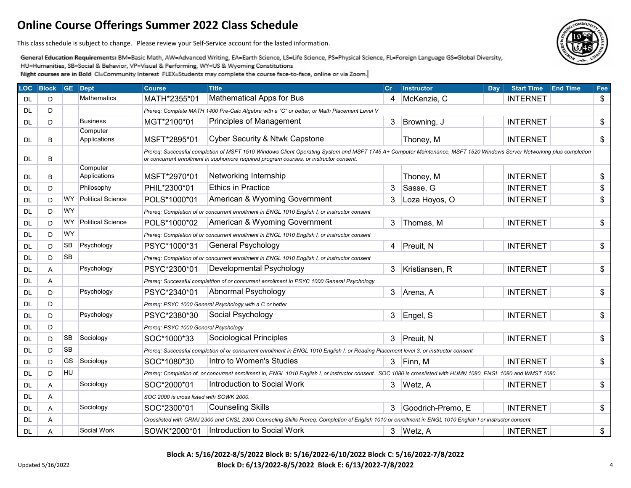This class schedule is subject to change. Please review your Self-Service account for the lasted information.

General Education Requirements: BM=Basic Math, AW=Advanced Writing, EA=Earth Science, LS=Life Science, PS=Physical Science, FL=Foreign Language GS=Global Diversity, HU=Humanities, SB=Social & Behavior, VP=Visual & Performing, WY=US & Wyoming Constitutions

Night courses are in Bold CI=Community Interest FLEX=Students may complete the course face-to-face, online or via Zoom.

| <b>LOC</b> | <b>Block</b> |           | <b>GE</b> Dept           | <b>Course</b>                                                                                                                                             | <b>Title</b>                                                                                                                                                                                                                                                    | Cr | <b>Instructor</b> | Day | <b>Start Time</b> | <b>End Time</b> | Fee                        |
|------------|--------------|-----------|--------------------------|-----------------------------------------------------------------------------------------------------------------------------------------------------------|-----------------------------------------------------------------------------------------------------------------------------------------------------------------------------------------------------------------------------------------------------------------|----|-------------------|-----|-------------------|-----------------|----------------------------|
| DL         | D            |           | Mathematics              | MATH*2355*01                                                                                                                                              | Mathematical Apps for Bus                                                                                                                                                                                                                                       | 4  | McKenzie, C       |     | <b>INTERNET</b>   |                 | \$                         |
| <b>DL</b>  | D            |           |                          |                                                                                                                                                           | Prereq: Complete MATH 1400 Pre-Calc Algebra with a "C" or better; or Math Placement Level V                                                                                                                                                                     |    |                   |     |                   |                 |                            |
| <b>DL</b>  | D            |           | <b>Business</b>          | MGT*2100*01                                                                                                                                               | <b>Principles of Management</b>                                                                                                                                                                                                                                 | 3  | Browning, J       |     | <b>INTERNET</b>   |                 | \$                         |
| <b>DL</b>  | B            |           | Computer<br>Applications | MSFT*2895*01                                                                                                                                              | Cyber Security & Ntwk Capstone                                                                                                                                                                                                                                  |    | Thoney, M         |     | <b>INTERNET</b>   |                 | $\$\$                      |
| <b>DL</b>  | B            |           |                          |                                                                                                                                                           | Prereq: Successful completion of MSFT 1510 Windows Client Operating System and MSFT 1745 A+ Computer Maintenance, MSFT 1520 Windows Server Networking plus completion<br>or concurrent enrollment in sophomore required program courses, or instructor consent. |    |                   |     |                   |                 |                            |
| DL.        | B            |           | Computer<br>Applications | MSFT*2970*01                                                                                                                                              | Networking Internship                                                                                                                                                                                                                                           |    | Thoney, M         |     | <b>INTERNET</b>   |                 | \$                         |
| <b>DL</b>  | D            |           | Philosophy               | PHIL*2300*01                                                                                                                                              | <b>Ethics in Practice</b>                                                                                                                                                                                                                                       | 3  | Sasse, G          |     | <b>INTERNET</b>   |                 | \$                         |
| DL.        | D            | <b>WY</b> | <b>Political Science</b> | POLS*1000*01                                                                                                                                              | American & Wyoming Government                                                                                                                                                                                                                                   | 3  | Loza Hoyos, O     |     | <b>INTERNET</b>   |                 | $\frac{1}{2}$              |
| <b>DL</b>  | D            | <b>WY</b> |                          |                                                                                                                                                           | Prereq: Completion of or concurrent enrollment in ENGL 1010 English I, or instructor consent                                                                                                                                                                    |    |                   |     |                   |                 |                            |
| <b>DL</b>  | D            | WY        | <b>Political Science</b> | POLS*1000*02                                                                                                                                              | American & Wyoming Government                                                                                                                                                                                                                                   | 3  | Thomas, M         |     | <b>INTERNET</b>   |                 | \$                         |
| DL         | D            | <b>WY</b> |                          |                                                                                                                                                           | Prereq: Completion of or concurrent enrollment in ENGL 1010 English I, or instructor consent                                                                                                                                                                    |    |                   |     |                   |                 |                            |
| DL         | D            | <b>SB</b> | Psychology               | PSYC*1000*31                                                                                                                                              | General Psychology                                                                                                                                                                                                                                              | 4  | Preuit, N         |     | <b>INTERNET</b>   |                 | $\boldsymbol{\mathsf{S}}$  |
| <b>DL</b>  | D            | <b>SB</b> |                          |                                                                                                                                                           | Prereq: Completion of or concurrent enrollment in ENGL 1010 English I, or instructor consent                                                                                                                                                                    |    |                   |     |                   |                 |                            |
| DL         | A            |           | Psychology               | PSYC*2300*01                                                                                                                                              | Developmental Psychology                                                                                                                                                                                                                                        | 3  | Kristiansen, R    |     | <b>INTERNET</b>   |                 | \$                         |
| <b>DL</b>  | Α            |           |                          |                                                                                                                                                           | Prereq: Successful complettion of or concurrent enrollment in PSYC 1000 General Psychology                                                                                                                                                                      |    |                   |     |                   |                 |                            |
| DL         | D            |           | Psychology               | PSYC*2340*01                                                                                                                                              | Abnormal Psychology                                                                                                                                                                                                                                             | 3  | Arena, A          |     | <b>INTERNET</b>   |                 | $\frac{1}{2}$              |
| <b>DL</b>  | D            |           |                          |                                                                                                                                                           | Prereq: PSYC 1000 General Psychology with a C or better                                                                                                                                                                                                         |    |                   |     |                   |                 |                            |
| DL.        | D            |           | Psychology               | PSYC*2380*30                                                                                                                                              | Social Psychology                                                                                                                                                                                                                                               | 3  | Engel, S          |     | <b>INTERNET</b>   |                 | $\boldsymbol{\mathsf{\$}}$ |
| <b>DL</b>  | D            |           |                          | Prereq: PSYC 1000 General Psychology                                                                                                                      |                                                                                                                                                                                                                                                                 |    |                   |     |                   |                 |                            |
| DL         | D            | <b>SB</b> | Sociology                | SOC*1000*33                                                                                                                                               | Sociological Principles                                                                                                                                                                                                                                         | 3  | Preuit, N         |     | <b>INTERNET</b>   |                 | \$                         |
| DL         | D            | <b>SB</b> |                          |                                                                                                                                                           | Prereq: Successful completion of or concurrent enrollment in ENGL 1010 English I, or Reading Placement level 3, or instructor consent                                                                                                                           |    |                   |     |                   |                 |                            |
| DL         | D            | <b>GS</b> | Sociology                | SOC*1080*30                                                                                                                                               | Intro to Women's Studies                                                                                                                                                                                                                                        | 3  | Finn, M           |     | <b>INTERNET</b>   |                 | \$                         |
| <b>DL</b>  | D            | HU        |                          |                                                                                                                                                           | Prereq: Completion of, or concurrent enrollment in, ENGL 1010 English I, or instructor consent. SOC 1080 is crosslisted with HUMN 1080, ENGL 1080 and WMST 1080.                                                                                                |    |                   |     |                   |                 |                            |
| <b>DL</b>  | Α            |           | Sociology                | SOC*2000*01                                                                                                                                               | Introduction to Social Work                                                                                                                                                                                                                                     | 3  | Wetz, A           |     | <b>INTERNET</b>   |                 | \$                         |
| <b>DL</b>  | Α            |           |                          | SOC 2000 is cross listed with SOWK 2000.                                                                                                                  |                                                                                                                                                                                                                                                                 |    |                   |     |                   |                 |                            |
| DL.        | Α            |           | Sociology                | SOC*2300*01                                                                                                                                               | <b>Counseling Skills</b>                                                                                                                                                                                                                                        | 3  | Goodrich-Premo, E |     | <b>INTERNET</b>   |                 | $\$\$                      |
| DL         | Α            |           |                          | Crosslisted with CRMJ 2300 and CNSL 2300 Counseling Skills Prereq: Completion of English 1010 or enrollment in ENGL 1010 English I or instructor consent. |                                                                                                                                                                                                                                                                 |    |                   |     |                   |                 |                            |
| <b>DL</b>  | Α            |           | Social Work              |                                                                                                                                                           | SOWK*2000*01   Introduction to Social Work                                                                                                                                                                                                                      | 3  | Wetz, A           |     | <b>INTERNET</b>   |                 | \$                         |

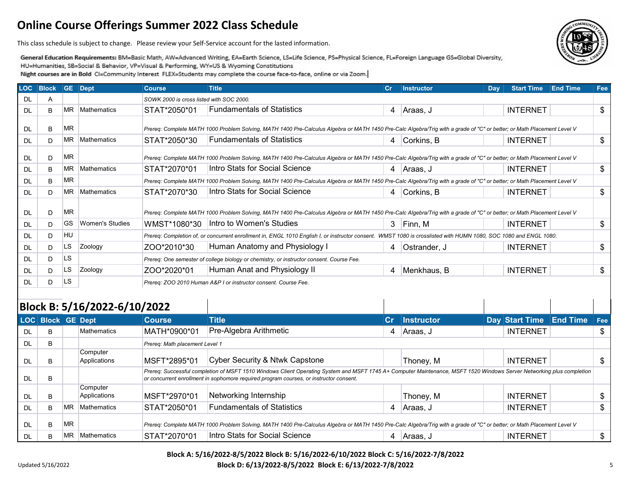This class schedule is subject to change. Please review your Self-Service account for the lasted information.

General Education Requirements: BM=Basic Math, AW=Advanced Writing, EA=Earth Science, LS=Life Science, PS=Physical Science, FL=Foreign Language GS=Global Diversity, HU=Humanities, SB=Social & Behavior, VP=Visual & Performing, WY=US & Wyoming Constitutions Night courses are in Bold CI=Community Interest FLEX=Students may complete the course face-to-face, online or via Zoom.

| <b>LOC</b> | <b>Block GE Dept</b> |           |                 | <b>Course</b>                                                   | <b>Title</b>                                                                                                                                                           | <b>Cr</b> | <b>Instructor</b> | Day | <b>Start Time</b> | <b>End Time</b> | Fee |  |  |
|------------|----------------------|-----------|-----------------|-----------------------------------------------------------------|------------------------------------------------------------------------------------------------------------------------------------------------------------------------|-----------|-------------------|-----|-------------------|-----------------|-----|--|--|
| <b>DL</b>  | A                    |           |                 | SOWK 2000 is cross listed with SOC 2000.                        |                                                                                                                                                                        |           |                   |     |                   |                 |     |  |  |
| DI.        | B.                   |           | MR Mathematics  | STAT*2050*01                                                    | <b>Fundamentals of Statistics</b>                                                                                                                                      | 4         | Araas, J          |     | <b>INTERNET</b>   |                 | \$  |  |  |
|            |                      | <b>MR</b> |                 |                                                                 |                                                                                                                                                                        |           |                   |     |                   |                 |     |  |  |
| <b>DL</b>  | B.                   |           |                 |                                                                 | Prereg: Complete MATH 1000 Problem Solving, MATH 1400 Pre-Calculus Algebra or MATH 1450 Pre-Calc Algebra/Trig with a grade of "C" or better; or Math Placement Level V |           |                   |     |                   |                 |     |  |  |
| DI.        | D.                   |           | MR Mathematics  | STAT*2050*30                                                    | <b>Fundamentals of Statistics</b>                                                                                                                                      | 4         | Corkins, B        |     | <b>INTERNET</b>   |                 | \$  |  |  |
| <b>DL</b>  | D                    | <b>MR</b> |                 |                                                                 | Prereq: Complete MATH 1000 Problem Solving, MATH 1400 Pre-Calculus Algebra or MATH 1450 Pre-Calc Algebra/Trig with a grade of "C" or better; or Math Placement Level V |           |                   |     |                   |                 |     |  |  |
| <b>DL</b>  | B                    |           | MR Mathematics  | STAT*2070*01                                                    | Intro Stats for Social Science                                                                                                                                         | 4         | Araas, J          |     | <b>INTERNET</b>   |                 | \$  |  |  |
| DL         | B                    | <b>MR</b> |                 |                                                                 | Prereq: Complete MATH 1000 Problem Solving, MATH 1400 Pre-Calculus Algebra or MATH 1450 Pre-Calc Algebra/Trig with a grade of "C" or better; or Math Placement Level V |           |                   |     |                   |                 |     |  |  |
| <b>DL</b>  | D.                   |           | MR Mathematics  | STAT*2070*30                                                    | Intro Stats for Social Science                                                                                                                                         | 4         | Corkins, B        |     | <b>INTERNET</b>   |                 | \$  |  |  |
| <b>DL</b>  | D                    | <b>MR</b> |                 |                                                                 | Prereq: Complete MATH 1000 Problem Solving, MATH 1400 Pre-Calculus Algebra or MATH 1450 Pre-Calc Algebra/Trig with a grade of "C" or better; or Math Placement Level V |           |                   |     |                   |                 |     |  |  |
| <b>DL</b>  | D.                   | <b>GS</b> | Women's Studies | WMST*1080*30                                                    | Intro to Women's Studies                                                                                                                                               | 3         | Finn, M           |     | <b>INTERNET</b>   |                 | \$  |  |  |
| DL         | D                    | <b>HU</b> |                 |                                                                 | Prereq: Completion of, or concurrent enrollment in, ENGL 1010 English I, or instructor consent. WMST 1080 is crosslisted with HUMN 1080, SOC 1080 and ENGL 1080.       |           |                   |     |                   |                 |     |  |  |
| <b>DL</b>  | D.                   | LS.       | Zoology         | ZOO*2010*30                                                     | Human Anatomy and Physiology I                                                                                                                                         | 4         | Ostrander, J      |     | <b>INTERNET</b>   |                 | \$  |  |  |
| DL         | D                    | LS.       |                 |                                                                 | Prereq: One semester of college biology or chemistry, or instructor consent. Course Fee.                                                                               |           |                   |     |                   |                 |     |  |  |
| <b>DL</b>  | D.                   | LS        | Zoology         | ZOO*2020*01                                                     | Human Anat and Physiology II                                                                                                                                           | 4         | Menkhaus, B       |     | <b>INTERNET</b>   |                 | \$  |  |  |
| DL         | D                    | LS.       |                 | Prereq: ZOO 2010 Human A&P I or instructor consent. Course Fee. |                                                                                                                                                                        |           |                   |     |                   |                 |     |  |  |

|           |                   |           | Block B: 5/16/2022-6/10/2022 |                                |                                                                                                                                                                                                                                                                 |                |                   |  |                             |  |    |
|-----------|-------------------|-----------|------------------------------|--------------------------------|-----------------------------------------------------------------------------------------------------------------------------------------------------------------------------------------------------------------------------------------------------------------|----------------|-------------------|--|-----------------------------|--|----|
|           | LOC Block GE Dept |           |                              | <b>Course</b>                  | <b>Title</b>                                                                                                                                                                                                                                                    | $\mathbf{c}$ r | <b>Instructor</b> |  | Day Start Time End Time Fee |  |    |
| DL        | B                 |           | <b>Mathematics</b>           | MATH*0900*01                   | Pre-Algebra Arithmetic                                                                                                                                                                                                                                          | 4              | Araas, J          |  | <b>INTERNET</b>             |  | \$ |
| DL        | B                 |           |                              | Prereg: Math placement Level 1 |                                                                                                                                                                                                                                                                 |                |                   |  |                             |  |    |
| <b>DL</b> | B                 |           | Computer<br>Applications     | MSFT*2895*01                   | Cyber Security & Ntwk Capstone                                                                                                                                                                                                                                  |                | Thoney, M         |  | <b>INTERNET</b>             |  | \$ |
| DL        | B                 |           |                              |                                | Prereq: Successful completion of MSFT 1510 Windows Client Operating System and MSFT 1745 A+ Computer Maintenance, MSFT 1520 Windows Server Networking plus completion<br>or concurrent enrollment in sophomore required program courses, or instructor consent. |                |                   |  |                             |  |    |
| DL        | B                 |           | Computer<br>Applications     | MSFT*2970*01                   | Networking Internship                                                                                                                                                                                                                                           |                | Thoney, M         |  | <b>INTERNET</b>             |  | \$ |
| DL        | B                 | <b>MR</b> | <b>Mathematics</b>           | STAT*2050*01                   | <b>Fundamentals of Statistics</b>                                                                                                                                                                                                                               | 4              | Araas, J          |  | <b>INTERNET</b>             |  | \$ |
| DL        | B                 | <b>MR</b> |                              |                                | Prereq: Complete MATH 1000 Problem Solving, MATH 1400 Pre-Calculus Algebra or MATH 1450 Pre-Calc Algebra/Trig with a grade of "C" or better; or Math Placement Level V                                                                                          |                |                   |  |                             |  |    |
| DL        | B                 | <b>MR</b> | <b>Mathematics</b>           | STAT*2070*01                   | Intro Stats for Social Science                                                                                                                                                                                                                                  |                | Araas, J          |  | <b>INTERNET</b>             |  | \$ |

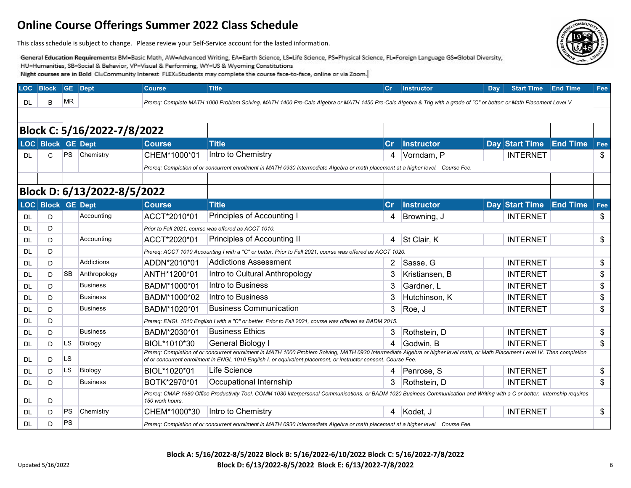This class schedule is subject to change. Please review your Self-Service account for the lasted information.

General Education Requirements: BM=Basic Math, AW=Advanced Writing, EA=Earth Science, LS=Life Science, PS=Physical Science, FL=Foreign Language GS=Global Diversity, HU=Humanities, SB=Social & Behavior, VP=Visual & Performing, WY=US & Wyoming Constitutions Night courses are in Bold CI=Community Interest FLEX=Students may complete the course face-to-face, online or via Zoom.

| <b>LOC</b> | <b>Block</b>                | <b>GE</b> | Dept                        | <b>Course</b>                                                                                                                                                                                  | <b>Title</b>                                                                                                                                                                                                                                                                                    | Cr             | <b>Instructor</b> | Dav | <b>Start Time</b>       | <b>End Time</b> | Fee |  |  |
|------------|-----------------------------|-----------|-----------------------------|------------------------------------------------------------------------------------------------------------------------------------------------------------------------------------------------|-------------------------------------------------------------------------------------------------------------------------------------------------------------------------------------------------------------------------------------------------------------------------------------------------|----------------|-------------------|-----|-------------------------|-----------------|-----|--|--|
| DL.        | B                           | <b>MR</b> |                             |                                                                                                                                                                                                | Prereq: Complete MATH 1000 Problem Solving, MATH 1400 Pre-Calc Algebra or MATH 1450 Pre-Calc Algebra & Trig with a grade of "C" or better; or Math Placement Level V                                                                                                                            |                |                   |     |                         |                 |     |  |  |
|            |                             |           |                             |                                                                                                                                                                                                |                                                                                                                                                                                                                                                                                                 |                |                   |     |                         |                 |     |  |  |
|            |                             |           |                             |                                                                                                                                                                                                |                                                                                                                                                                                                                                                                                                 |                |                   |     |                         |                 |     |  |  |
|            |                             |           | Block C: 5/16/2022-7/8/2022 |                                                                                                                                                                                                |                                                                                                                                                                                                                                                                                                 |                |                   |     |                         |                 |     |  |  |
|            | LOC Block GE Dept           |           |                             | <b>Course</b>                                                                                                                                                                                  | <b>Title</b>                                                                                                                                                                                                                                                                                    | $\mathsf{Cr}$  | <b>Instructor</b> |     | Day Start Time          | <b>End Time</b> | Fee |  |  |
| <b>DL</b>  | $\mathsf{C}$                | <b>PS</b> | Chemistry                   | CHEM*1000*01                                                                                                                                                                                   | Intro to Chemistry                                                                                                                                                                                                                                                                              | 4              | Vorndam, P        |     | <b>INTERNET</b>         |                 | \$  |  |  |
|            |                             |           |                             |                                                                                                                                                                                                | Prereq: Completion of or concurrent enrollment in MATH 0930 Intermediate Algebra or math placement at a higher level. Course Fee.                                                                                                                                                               |                |                   |     |                         |                 |     |  |  |
|            |                             |           |                             |                                                                                                                                                                                                |                                                                                                                                                                                                                                                                                                 |                |                   |     |                         |                 |     |  |  |
|            | Block D: 6/13/2022-8/5/2022 |           |                             |                                                                                                                                                                                                |                                                                                                                                                                                                                                                                                                 |                |                   |     |                         |                 |     |  |  |
|            | LOC Block GE Dept           |           |                             | <b>Course</b>                                                                                                                                                                                  | <b>Title</b>                                                                                                                                                                                                                                                                                    | cr             | <b>Instructor</b> |     | Day Start Time End Time |                 | Fee |  |  |
| DL         | D                           |           | Accounting                  | ACCT*2010*01                                                                                                                                                                                   | Principles of Accounting I                                                                                                                                                                                                                                                                      | 4              | Browning, J       |     | <b>INTERNET</b>         |                 | \$  |  |  |
| <b>DL</b>  | D                           |           |                             |                                                                                                                                                                                                | Prior to Fall 2021, course was offered as ACCT 1010.                                                                                                                                                                                                                                            |                |                   |     |                         |                 |     |  |  |
| DL         | D                           |           | Accounting                  | ACCT*2020*01                                                                                                                                                                                   | <b>Principles of Accounting II</b>                                                                                                                                                                                                                                                              | 4              | St Clair, K       |     | <b>INTERNET</b>         |                 | \$  |  |  |
| DL         | D                           |           |                             |                                                                                                                                                                                                | Prereq: ACCT 1010 Accounting I with a "C" or better. Prior to Fall 2021, course was offered as ACCT 1020.                                                                                                                                                                                       |                |                   |     |                         |                 |     |  |  |
| DL.        | D                           |           | Addictions                  | ADDN*2010*01                                                                                                                                                                                   | <b>Addictions Assessment</b>                                                                                                                                                                                                                                                                    | $\overline{2}$ | Sasse, G          |     | <b>INTERNET</b>         |                 | \$  |  |  |
| <b>DL</b>  | D                           | <b>SB</b> | Anthropology                | ANTH*1200*01                                                                                                                                                                                   | Intro to Cultural Anthropology                                                                                                                                                                                                                                                                  | 3              | Kristiansen, B    |     | <b>INTERNET</b>         |                 | \$  |  |  |
| DL         | D                           |           | <b>Business</b>             | BADM*1000*01                                                                                                                                                                                   | Intro to Business                                                                                                                                                                                                                                                                               | 3              | Gardner, L        |     | <b>INTERNET</b>         |                 | \$  |  |  |
| DL         | D.                          |           | <b>Business</b>             | BADM*1000*02                                                                                                                                                                                   | Intro to Business                                                                                                                                                                                                                                                                               | 3              | Hutchinson, K     |     | <b>INTERNET</b>         |                 | \$  |  |  |
| DL.        | D                           |           | <b>Business</b>             | BADM*1020*01                                                                                                                                                                                   | <b>Business Communication</b>                                                                                                                                                                                                                                                                   | 3              | Roe, J            |     | <b>INTERNET</b>         |                 | \$  |  |  |
| DL.        | D                           |           |                             |                                                                                                                                                                                                | Prereq: ENGL 1010 English I with a "C" or better. Prior to Fall 2021, course was offered as BADM 2015.                                                                                                                                                                                          |                |                   |     |                         |                 |     |  |  |
| <b>DL</b>  | D                           |           | <b>Business</b>             | BADM*2030*01                                                                                                                                                                                   | <b>Business Ethics</b>                                                                                                                                                                                                                                                                          | 3              | Rothstein, D      |     | <b>INTERNET</b>         |                 | \$  |  |  |
| DL         | D                           | LS        | Biology                     | BIOL*1010*30                                                                                                                                                                                   | General Biology I                                                                                                                                                                                                                                                                               | 4              | Godwin, B         |     | <b>INTERNET</b>         |                 | \$  |  |  |
| DL.        | D                           | <b>LS</b> |                             |                                                                                                                                                                                                | Prereq: Completion of or concurrent enrollment in MATH 1000 Problem Solving, MATH 0930 Intermediate Algebra or higher level math, or Math Placement Level IV. Then completion<br>of or concurrent enrollment in ENGL 1010 English I, or equivalent placement, or instructor consent. Course Fee |                |                   |     |                         |                 |     |  |  |
| DL         | D.                          | <b>LS</b> | Biology                     | BIOL*1020*01                                                                                                                                                                                   | Life Science                                                                                                                                                                                                                                                                                    | 4              | Penrose, S        |     | <b>INTERNET</b>         |                 | \$  |  |  |
| DL.        | D                           |           | <b>Business</b>             | BOTK*2970*01                                                                                                                                                                                   | Occupational Internship                                                                                                                                                                                                                                                                         | 3              | Rothstein, D      |     | <b>INTERNET</b>         |                 | \$  |  |  |
| DL         | D                           |           |                             | Prereq: CMAP 1680 Office Productivity Tool, COMM 1030 Interpersonal Communications, or BADM 1020 Business Communication and Writing with a C or better. Internship requires<br>150 work hours. |                                                                                                                                                                                                                                                                                                 |                |                   |     |                         |                 |     |  |  |
| DL         | D                           | PS        | Chemistry                   | CHEM*1000*30                                                                                                                                                                                   | Intro to Chemistry                                                                                                                                                                                                                                                                              | 4              | Kodet, J          |     | <b>INTERNET</b>         |                 | \$  |  |  |
| DL.        | D                           | PS        |                             |                                                                                                                                                                                                | Prereq: Completion of or concurrent enrollment in MATH 0930 Intermediate Algebra or math placement at a higher level. Course Fee.                                                                                                                                                               |                |                   |     |                         |                 |     |  |  |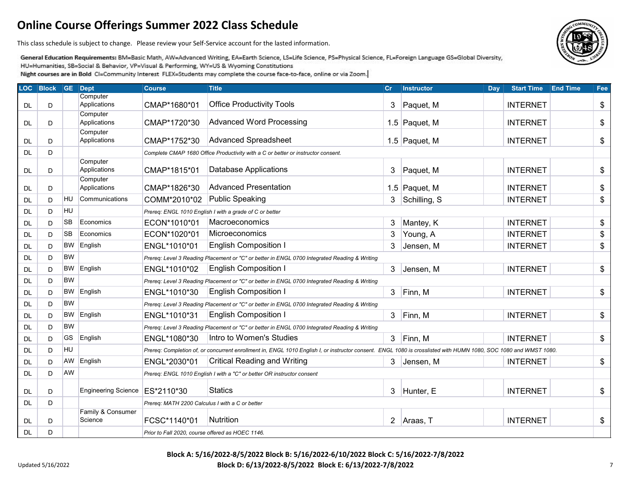This class schedule is subject to change. Please review your Self-Service account for the lasted information.

General Education Requirements: BM=Basic Math, AW=Advanced Writing, EA=Earth Science, LS=Life Science, PS=Physical Science, FL=Foreign Language GS=Global Diversity, HU=Humanities, SB=Social & Behavior, VP=Visual & Performing, WY=US & Wyoming Constitutions

Night courses are in Bold CI=Community Interest FLEX=Students may complete the course face-to-face, online or via Zoom.

| <b>LOC</b> | <b>Block</b> |           | <b>GE</b> Dept                   | <b>Course</b>                                    | <b>Title</b>                                                                                                                                                     | cr | <b>Instructor</b> | Day | <b>Start Time</b> | <b>End Time</b> | Fee |
|------------|--------------|-----------|----------------------------------|--------------------------------------------------|------------------------------------------------------------------------------------------------------------------------------------------------------------------|----|-------------------|-----|-------------------|-----------------|-----|
| <b>DL</b>  | D            |           | Computer<br>Applications         | CMAP*1680*01                                     | <b>Office Productivity Tools</b>                                                                                                                                 | 3  | Paquet, M         |     | <b>INTERNET</b>   |                 | \$  |
|            |              |           | Computer                         |                                                  |                                                                                                                                                                  |    |                   |     |                   |                 |     |
| <b>DL</b>  | D            |           | Applications                     | CMAP*1720*30                                     | <b>Advanced Word Processing</b>                                                                                                                                  |    | 1.5 Paquet, M     |     | <b>INTERNET</b>   |                 | \$  |
|            |              |           | Computer                         |                                                  |                                                                                                                                                                  |    |                   |     |                   |                 |     |
| <b>DL</b>  | D            |           | Applications                     | CMAP*1752*30                                     | <b>Advanced Spreadsheet</b>                                                                                                                                      |    | 1.5 Paquet, M     |     | <b>INTERNET</b>   |                 | \$  |
| DL         | D            |           |                                  |                                                  | Complete CMAP 1680 Office Productivity with a C or better or instructor consent.                                                                                 |    |                   |     |                   |                 |     |
|            |              |           | Computer                         |                                                  |                                                                                                                                                                  |    |                   |     |                   |                 |     |
| <b>DL</b>  | D            |           | Applications                     | CMAP*1815*01                                     | <b>Database Applications</b>                                                                                                                                     | 3  | Paquet, M         |     | <b>INTERNET</b>   |                 | \$  |
| DL.        | D            |           | Computer<br>Applications         | CMAP*1826*30                                     | <b>Advanced Presentation</b>                                                                                                                                     |    | 1.5 Paquet, M     |     | <b>INTERNET</b>   |                 | \$  |
| <b>DL</b>  | D            | HU        | Communications                   | COMM*2010*02                                     | <b>Public Speaking</b>                                                                                                                                           | 3  | Schilling, S      |     | <b>INTERNET</b>   |                 | \$  |
| <b>DL</b>  | D            | HU        |                                  |                                                  | Prereq: ENGL 1010 English I with a grade of C or better                                                                                                          |    |                   |     |                   |                 |     |
| DL.        | D            | <b>SB</b> | Economics                        | ECON*1010*01                                     | Macroeconomics                                                                                                                                                   | 3  | Mantey, K         |     | <b>INTERNET</b>   |                 | \$  |
|            |              | <b>SB</b> | Economics                        | ECON*1020*01                                     | Microeconomics                                                                                                                                                   | 3  |                   |     | <b>INTERNET</b>   |                 | \$  |
| <b>DL</b>  | D            |           |                                  |                                                  |                                                                                                                                                                  |    | Young, A          |     |                   |                 |     |
| <b>DL</b>  | D            | <b>BW</b> | English                          | ENGL*1010*01                                     | <b>English Composition I</b>                                                                                                                                     | 3  | Jensen, M         |     | <b>INTERNET</b>   |                 | \$  |
| DL         | D            | <b>BW</b> |                                  |                                                  | Prereq: Level 3 Reading Placement or "C" or better in ENGL 0700 Integrated Reading & Writing                                                                     |    |                   |     |                   |                 |     |
| <b>DL</b>  | D            | <b>BW</b> | English                          | ENGL*1010*02                                     | <b>English Composition I</b>                                                                                                                                     | 3  | Jensen, M         |     | <b>INTERNET</b>   |                 | \$  |
| <b>DL</b>  | D            | <b>BW</b> |                                  |                                                  | Prereq: Level 3 Reading Placement or "C" or better in ENGL 0700 Integrated Reading & Writing                                                                     |    |                   |     |                   |                 |     |
| DL.        | D            | BW        | English                          | ENGL*1010*30                                     | <b>English Composition I</b>                                                                                                                                     | 3  | Finn, M           |     | <b>INTERNET</b>   |                 | \$  |
| <b>DL</b>  | D            | <b>BW</b> |                                  |                                                  | Prereq: Level 3 Reading Placement or "C" or better in ENGL 0700 Integrated Reading & Writing                                                                     |    |                   |     |                   |                 |     |
| <b>DL</b>  | D            | <b>BW</b> | English                          | ENGL*1010*31                                     | <b>English Composition I</b>                                                                                                                                     | 3  | Finn, M           |     | <b>INTERNET</b>   |                 | \$  |
| DL.        | D            | <b>BW</b> |                                  |                                                  | Prereq: Level 3 Reading Placement or "C" or better in ENGL 0700 Integrated Reading & Writing                                                                     |    |                   |     |                   |                 |     |
| <b>DL</b>  | D            | GS        | English                          | ENGL*1080*30                                     | Intro to Women's Studies                                                                                                                                         | 3  | Finn, M           |     | <b>INTERNET</b>   |                 | \$  |
| <b>DL</b>  | D            | HU        |                                  |                                                  | Prereq: Completion of, or concurrent enrollment in, ENGL 1010 English I, or instructor consent. ENGL 1080 is crosslisted with HUMN 1080, SOC 1080 and WMST 1080. |    |                   |     |                   |                 |     |
| DL.        | D            | AW        | English                          | ENGL*2030*01                                     | <b>Critical Reading and Writing</b>                                                                                                                              | 3  | Jensen, M         |     | <b>INTERNET</b>   |                 | \$  |
| <b>DL</b>  | D            | AW        |                                  |                                                  | Prereq: ENGL 1010 English I with a "C" or better OR instructor consent                                                                                           |    |                   |     |                   |                 |     |
|            |              |           |                                  |                                                  |                                                                                                                                                                  |    |                   |     |                   |                 |     |
| DL.        | D            |           | Engineering Science   ES*2110*30 |                                                  | <b>Statics</b>                                                                                                                                                   | 3  | Hunter, E         |     | <b>INTERNET</b>   |                 | \$  |
| DL.        | D            |           |                                  | Prereq: MATH 2200 Calculus I with a C or better  |                                                                                                                                                                  |    |                   |     |                   |                 |     |
|            |              |           | Family & Consumer                |                                                  |                                                                                                                                                                  |    |                   |     |                   |                 |     |
| <b>DL</b>  | D            |           | Science                          | FCSC*1140*01                                     | Nutrition                                                                                                                                                        |    | 2 Araas, T        |     | <b>INTERNET</b>   |                 | \$  |
| <b>DL</b>  | D            |           |                                  | Prior to Fall 2020, course offered as HOEC 1146. |                                                                                                                                                                  |    |                   |     |                   |                 |     |

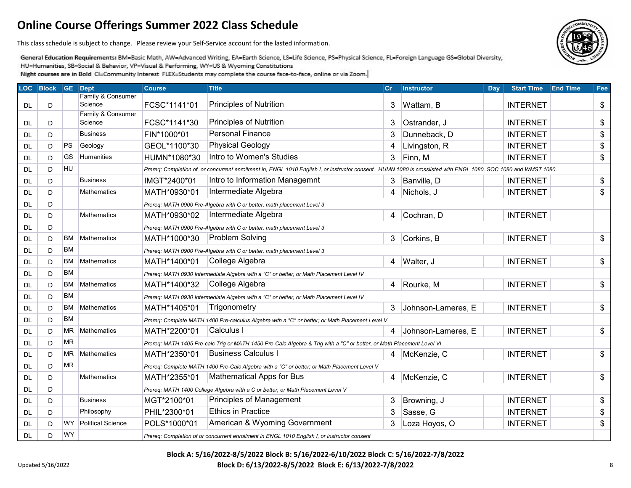This class schedule is subject to change. Please review your Self-Service account for the lasted information.

General Education Requirements: BM=Basic Math, AW=Advanced Writing, EA=Earth Science, LS=Life Science, PS=Physical Science, FL=Foreign Language GS=Global Diversity, HU=Humanities, SB=Social & Behavior, VP=Visual & Performing, WY=US & Wyoming Constitutions

Night courses are in Bold CI=Community Interest FLEX=Students may complete the course face-to-face, online or via Zoom.

| <b>LOC</b> | <b>Block</b> |           | <b>GE</b> Dept               | <b>Course</b> | <b>Title</b>                                                                                                                                                     | cr | <b>Instructor</b>  | Day | <b>Start Time</b> | <b>End Time</b> | Fee |
|------------|--------------|-----------|------------------------------|---------------|------------------------------------------------------------------------------------------------------------------------------------------------------------------|----|--------------------|-----|-------------------|-----------------|-----|
|            |              |           | Family & Consumer<br>Science | FCSC*1141*01  | Principles of Nutrition                                                                                                                                          |    |                    |     | <b>INTERNET</b>   |                 |     |
| DL         | D            |           | Family & Consumer            |               |                                                                                                                                                                  | 3  | Wattam, B          |     |                   |                 | \$  |
| DL.        | D            |           | Science                      | FCSC*1141*30  | Principles of Nutrition                                                                                                                                          | 3  | Ostrander, J       |     | <b>INTERNET</b>   |                 | \$  |
| DL.        | D            |           | <b>Business</b>              | FIN*1000*01   | <b>Personal Finance</b>                                                                                                                                          | 3  | Dunneback, D       |     | <b>INTERNET</b>   |                 | \$  |
| <b>DL</b>  | D            | <b>PS</b> | Geology                      | GEOL*1100*30  | <b>Physical Geology</b>                                                                                                                                          | 4  | Livingston, R      |     | <b>INTERNET</b>   |                 | \$  |
| DL         | D            | <b>GS</b> | <b>Humanities</b>            | HUMN*1080*30  | Intro to Women's Studies                                                                                                                                         | 3  | Finn, M            |     | <b>INTERNET</b>   |                 | \$  |
| <b>DL</b>  | D            | HU        |                              |               | Prereq: Completion of, or concurrent enrollment in, ENGL 1010 English I, or instructor consent. HUMN 1080 is crosslisted with ENGL 1080, SOC 1080 and WMST 1080. |    |                    |     |                   |                 |     |
| <b>DL</b>  | D            |           | <b>Business</b>              | IMGT*2400*01  | Intro to Information Managemnt                                                                                                                                   | 3  | Banville, D        |     | <b>INTERNET</b>   |                 | \$  |
| <b>DL</b>  | D            |           | <b>Mathematics</b>           | MATH*0930*01  | Intermediate Algebra                                                                                                                                             | 4  | Nichols, J         |     | <b>INTERNET</b>   |                 | \$  |
| <b>DL</b>  | D            |           |                              |               | Prereq: MATH 0900 Pre-Algebra with C or better, math placement Level 3                                                                                           |    |                    |     |                   |                 |     |
| <b>DL</b>  | D            |           | <b>Mathematics</b>           | MATH*0930*02  | Intermediate Algebra                                                                                                                                             | 4  | Cochran, D         |     | <b>INTERNET</b>   |                 |     |
| <b>DL</b>  | D            |           |                              |               | Prereq: MATH 0900 Pre-Algebra with C or better, math placement Level 3                                                                                           |    |                    |     |                   |                 |     |
| <b>DL</b>  | D            | BM        | Mathematics                  | MATH*1000*30  | <b>Problem Solving</b>                                                                                                                                           | 3  | Corkins, B         |     | <b>INTERNET</b>   |                 | \$  |
| <b>DL</b>  | D            | <b>BM</b> |                              |               | Prereg: MATH 0900 Pre-Algebra with C or better, math placement Level 3                                                                                           |    |                    |     |                   |                 |     |
| DL         | D            | ВM        | Mathematics                  | MATH*1400*01  | College Algebra                                                                                                                                                  | 4  | Walter, J          |     | <b>INTERNET</b>   |                 | \$  |
| DL         | D            | <b>BM</b> |                              |               | Prereq: MATH 0930 Intermediate Algebra with a "C" or better, or Math Placement Level IV                                                                          |    |                    |     |                   |                 |     |
| <b>DL</b>  | D            | <b>BM</b> | Mathematics                  | MATH*1400*32  | College Algebra                                                                                                                                                  | 4  | Rourke, M          |     | <b>INTERNET</b>   |                 | \$  |
| DL         | D            | <b>BM</b> |                              |               | Prereq: MATH 0930 Intermediate Algebra with a "C" or better, or Math Placement Level IV                                                                          |    |                    |     |                   |                 |     |
| DL         | D            | <b>BM</b> | Mathematics                  | MATH*1405*01  | Trigonometry                                                                                                                                                     | 3  | Johnson-Lameres, E |     | <b>INTERNET</b>   |                 | \$  |
| <b>DL</b>  | D            | <b>BM</b> |                              |               | Prereq: Complete MATH 1400 Pre-calculus Algebra with a "C" or better; or Math Placement Level V                                                                  |    |                    |     |                   |                 |     |
| <b>DL</b>  | D            | <b>MR</b> | Mathematics                  | MATH*2200*01  | Calculus I                                                                                                                                                       | 4  | Johnson-Lameres, E |     | <b>INTERNET</b>   |                 | \$  |
| <b>DL</b>  | D            | MR        |                              |               | Prereq: MATH 1405 Pre-calc Trig or MATH 1450 Pre-Calc Algebra & Trig with a "C" or better, or Math Placement Level VI                                            |    |                    |     |                   |                 |     |
| <b>DL</b>  | D            | <b>MR</b> | Mathematics                  | MATH*2350*01  | <b>Business Calculus I</b>                                                                                                                                       | 4  | McKenzie, C        |     | <b>INTERNET</b>   |                 | \$  |
| <b>DL</b>  | D            | <b>MR</b> |                              |               | Prereq: Complete MATH 1400 Pre-Calc Algebra with a "C" or better; or Math Placement Level V                                                                      |    |                    |     |                   |                 |     |
| <b>DL</b>  | D            |           | <b>Mathematics</b>           | MATH*2355*01  | <b>Mathematical Apps for Bus</b>                                                                                                                                 | 4  | McKenzie, C        |     | <b>INTERNET</b>   |                 | \$  |
| <b>DL</b>  | D            |           |                              |               | Prereq: MATH 1400 College Algebra with a C or better, or Math Placement Level V                                                                                  |    |                    |     |                   |                 |     |
| <b>DL</b>  | D            |           | <b>Business</b>              | MGT*2100*01   | Principles of Management                                                                                                                                         | 3  | Browning, J        |     | <b>INTERNET</b>   |                 | \$  |
| <b>DL</b>  | D            |           | Philosophy                   | PHIL*2300*01  | <b>Ethics in Practice</b>                                                                                                                                        | 3  | Sasse, G           |     | <b>INTERNET</b>   |                 | \$  |
| <b>DL</b>  | D            | <b>WY</b> | Political Science            | POLS*1000*01  | American & Wyoming Government                                                                                                                                    | 3  | Loza Hoyos, O      |     | <b>INTERNET</b>   |                 | \$  |
| <b>DL</b>  | D            | <b>WY</b> |                              |               | Prereq: Completion of or concurrent enrollment in ENGL 1010 English I, or instructor consent                                                                     |    |                    |     |                   |                 |     |